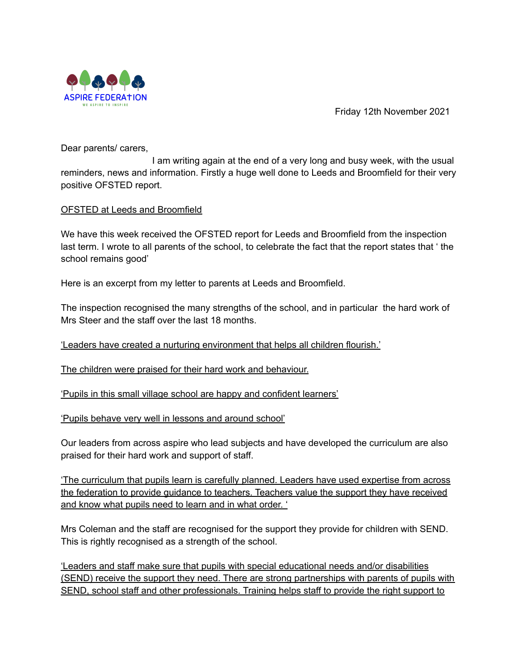

Friday 12th November 2021

Dear parents/ carers,

I am writing again at the end of a very long and busy week, with the usual reminders, news and information. Firstly a huge well done to Leeds and Broomfield for their very positive OFSTED report.

### OFSTED at Leeds and Broomfield

We have this week received the OFSTED report for Leeds and Broomfield from the inspection last term. I wrote to all parents of the school, to celebrate the fact that the report states that ' the school remains good'

Here is an excerpt from my letter to parents at Leeds and Broomfield.

The inspection recognised the many strengths of the school, and in particular the hard work of Mrs Steer and the staff over the last 18 months.

'Leaders have created a nurturing environment that helps all children flourish.'

The children were praised for their hard work and behaviour.

'Pupils in this small village school are happy and confident learners'

'Pupils behave very well in lessons and around school'

Our leaders from across aspire who lead subjects and have developed the curriculum are also praised for their hard work and support of staff.

'The curriculum that pupils learn is carefully planned. Leaders have used expertise from across the federation to provide guidance to teachers. Teachers value the support they have received and know what pupils need to learn and in what order. '

Mrs Coleman and the staff are recognised for the support they provide for children with SEND. This is rightly recognised as a strength of the school.

'Leaders and staff make sure that pupils with special educational needs and/or disabilities (SEND) receive the support they need. There are strong partnerships with parents of pupils with SEND, school staff and other professionals. Training helps staff to provide the right support to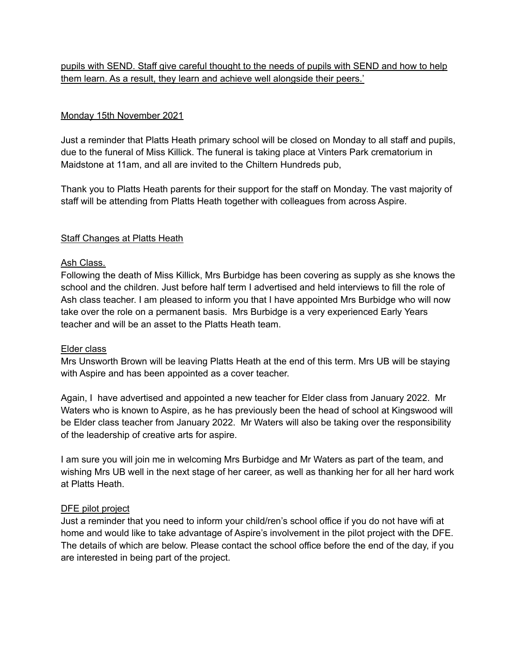pupils with SEND. Staff give careful thought to the needs of pupils with SEND and how to help them learn. As a result, they learn and achieve well alongside their peers.'

## Monday 15th November 2021

Just a reminder that Platts Heath primary school will be closed on Monday to all staff and pupils, due to the funeral of Miss Killick. The funeral is taking place at Vinters Park crematorium in Maidstone at 11am, and all are invited to the Chiltern Hundreds pub,

Thank you to Platts Heath parents for their support for the staff on Monday. The vast majority of staff will be attending from Platts Heath together with colleagues from across Aspire.

### Staff Changes at Platts Heath

### Ash Class.

Following the death of Miss Killick, Mrs Burbidge has been covering as supply as she knows the school and the children. Just before half term I advertised and held interviews to fill the role of Ash class teacher. I am pleased to inform you that I have appointed Mrs Burbidge who will now take over the role on a permanent basis. Mrs Burbidge is a very experienced Early Years teacher and will be an asset to the Platts Heath team.

### Elder class

Mrs Unsworth Brown will be leaving Platts Heath at the end of this term. Mrs UB will be staying with Aspire and has been appointed as a cover teacher.

Again, I have advertised and appointed a new teacher for Elder class from January 2022. Mr Waters who is known to Aspire, as he has previously been the head of school at Kingswood will be Elder class teacher from January 2022. Mr Waters will also be taking over the responsibility of the leadership of creative arts for aspire.

I am sure you will join me in welcoming Mrs Burbidge and Mr Waters as part of the team, and wishing Mrs UB well in the next stage of her career, as well as thanking her for all her hard work at Platts Heath.

### DFE pilot project

Just a reminder that you need to inform your child/ren's school office if you do not have wifi at home and would like to take advantage of Aspire's involvement in the pilot project with the DFE. The details of which are below. Please contact the school office before the end of the day, if you are interested in being part of the project.